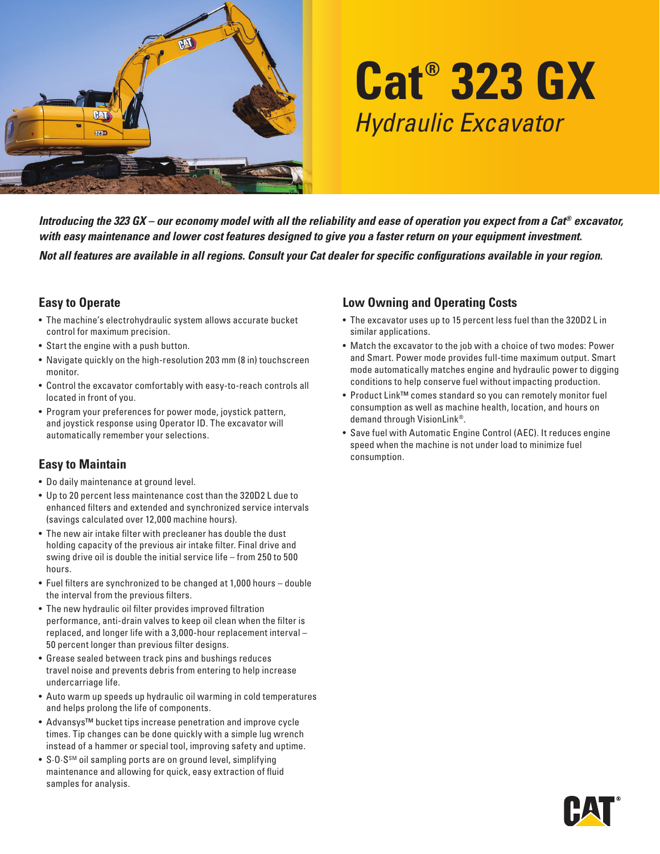

# **Cat® 323 GX** *Hydraulic Excavator*

*Introducing the 323 GX – our economy model with all the reliability and ease of operation you expect from a Cat® excavator, with easy maintenance and lower cost features designed to give you a faster return on your equipment investment.* 

*Not all features are available in all regions. Consult your Cat dealer for specific configurations available in your region.*

#### **Easy to Operate**

- The machine's electrohydraulic system allows accurate bucket control for maximum precision.
- Start the engine with a push button.
- Navigate quickly on the high-resolution 203 mm (8 in) touchscreen monitor.
- Control the excavator comfortably with easy-to-reach controls all located in front of you.
- Program your preferences for power mode, joystick pattern, and joystick response using Operator ID. The excavator will automatically remember your selections.

## **Easy to Maintain**

- Do daily maintenance at ground level.
- Up to 20 percent less maintenance cost than the 320D2 L due to enhanced filters and extended and synchronized service intervals (savings calculated over 12,000 machine hours).
- The new air intake filter with precleaner has double the dust holding capacity of the previous air intake filter. Final drive and swing drive oil is double the initial service life – from 250 to 500 hours.
- Fuel filters are synchronized to be changed at 1,000 hours double the interval from the previous filters.
- The new hydraulic oil filter provides improved filtration performance, anti-drain valves to keep oil clean when the filter is replaced, and longer life with a 3,000-hour replacement interval – 50 percent longer than previous filter designs.
- Grease sealed between track pins and bushings reduces travel noise and prevents debris from entering to help increase undercarriage life.
- Auto warm up speeds up hydraulic oil warming in cold temperatures and helps prolong the life of components.
- Advansys™ bucket tips increase penetration and improve cycle times. Tip changes can be done quickly with a simple lug wrench instead of a hammer or special tool, improving safety and uptime.
- S.O.S<sup>SM</sup> oil sampling ports are on ground level, simplifying maintenance and allowing for quick, easy extraction of fluid samples for analysis.

#### **Low Owning and Operating Costs**

- The excavator uses up to 15 percent less fuel than the 320D2 L in similar applications.
- Match the excavator to the job with a choice of two modes: Power and Smart. Power mode provides full-time maximum output. Smart mode automatically matches engine and hydraulic power to digging conditions to help conserve fuel without impacting production.
- Product Link™ comes standard so you can remotely monitor fuel consumption as well as machine health, location, and hours on demand through VisionLink®.
- Save fuel with Automatic Engine Control (AEC). It reduces engine speed when the machine is not under load to minimize fuel consumption.

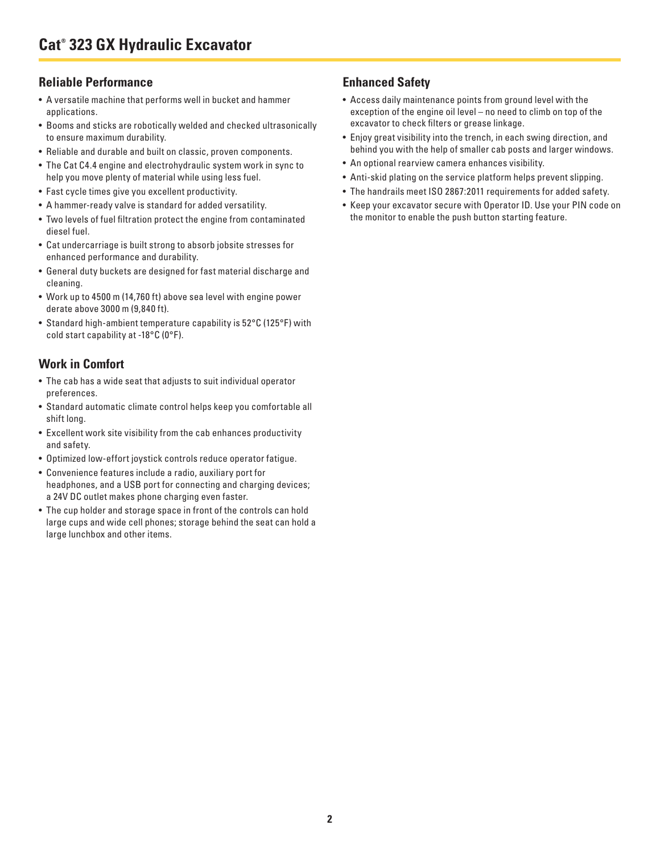#### **Reliable Performance**

- A versatile machine that performs well in bucket and hammer applications.
- Booms and sticks are robotically welded and checked ultrasonically to ensure maximum durability.
- Reliable and durable and built on classic, proven components.
- The Cat C4.4 engine and electrohydraulic system work in sync to help you move plenty of material while using less fuel.
- Fast cycle times give you excellent productivity.
- A hammer-ready valve is standard for added versatility.
- Two levels of fuel filtration protect the engine from contaminated diesel fuel.
- Cat undercarriage is built strong to absorb jobsite stresses for enhanced performance and durability.
- General duty buckets are designed for fast material discharge and cleaning.
- Work up to 4500 m (14,760 ft) above sea level with engine power derate above 3000 m (9,840 ft).
- Standard high-ambient temperature capability is 52°C (125°F) with cold start capability at -18°C (0°F).

## **Work in Comfort**

- The cab has a wide seat that adjusts to suit individual operator preferences.
- Standard automatic climate control helps keep you comfortable all shift long.
- Excellent work site visibility from the cab enhances productivity and safety.
- Optimized low-effort joystick controls reduce operator fatigue.
- Convenience features include a radio, auxiliary port for headphones, and a USB port for connecting and charging devices; a 24V DC outlet makes phone charging even faster.
- The cup holder and storage space in front of the controls can hold large cups and wide cell phones; storage behind the seat can hold a large lunchbox and other items.

# **Enhanced Safety**

- Access daily maintenance points from ground level with the exception of the engine oil level – no need to climb on top of the excavator to check filters or grease linkage.
- Enjoy great visibility into the trench, in each swing direction, and behind you with the help of smaller cab posts and larger windows.
- An optional rearview camera enhances visibility.
- Anti-skid plating on the service platform helps prevent slipping.
- The handrails meet ISO 2867:2011 requirements for added safety.
- Keep your excavator secure with Operator ID. Use your PIN code on the monitor to enable the push button starting feature.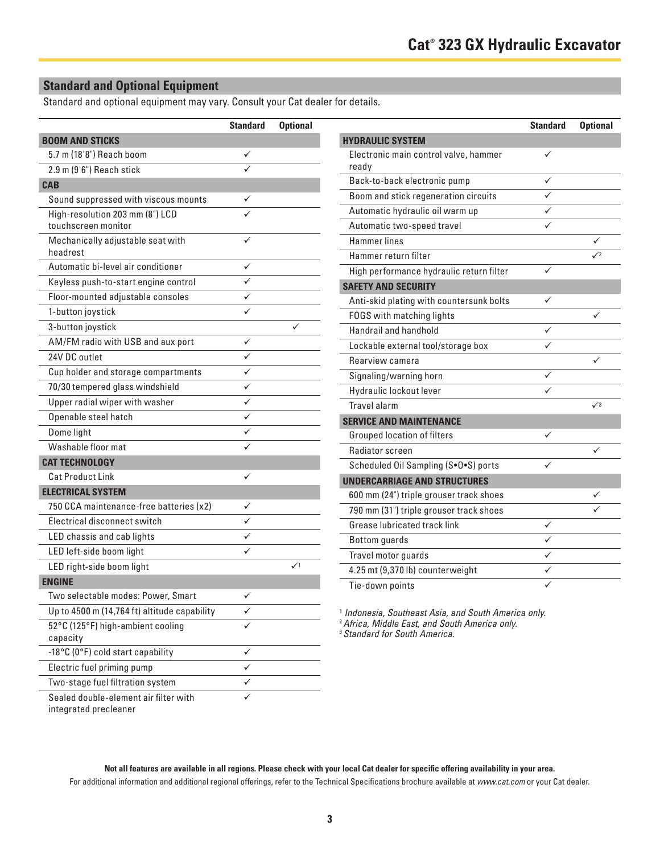## **Standard and Optional Equipment**

Standard and optional equipment may vary. Consult your Cat dealer for details.

|                                               | <b>Standard</b> | <b>Optional</b> |                                                                                                       | <b>Standard</b> | <b>Optional</b> |
|-----------------------------------------------|-----------------|-----------------|-------------------------------------------------------------------------------------------------------|-----------------|-----------------|
| <b>BOOM AND STICKS</b>                        |                 |                 | <b>HYDRAULIC SYSTEM</b>                                                                               |                 |                 |
| 5.7 m (18'8") Reach boom                      | ✓               |                 | Electronic main control valve, hammer                                                                 | $\checkmark$    |                 |
| 2.9 m (9'6") Reach stick                      |                 |                 | ready                                                                                                 |                 |                 |
| <b>CAB</b>                                    |                 |                 | Back-to-back electronic pump                                                                          | $\checkmark$    |                 |
| Sound suppressed with viscous mounts          | ✓               |                 | Boom and stick regeneration circuits                                                                  | $\checkmark$    |                 |
| High-resolution 203 mm (8") LCD               |                 |                 | Automatic hydraulic oil warm up                                                                       | $\checkmark$    |                 |
| touchscreen monitor                           |                 |                 | Automatic two-speed travel                                                                            | $\checkmark$    |                 |
| Mechanically adjustable seat with<br>headrest | ✓               |                 | <b>Hammer</b> lines                                                                                   |                 | ✓               |
| Automatic bi-level air conditioner            | $\checkmark$    |                 | Hammer return filter                                                                                  |                 | $\sqrt{2}$      |
|                                               | ✓               |                 | High performance hydraulic return filter                                                              | $\checkmark$    |                 |
| Keyless push-to-start engine control          |                 |                 | <b>SAFETY AND SECURITY</b>                                                                            |                 |                 |
| Floor-mounted adjustable consoles             | ✓               |                 | Anti-skid plating with countersunk bolts                                                              | $\checkmark$    |                 |
| 1-button joystick                             | ✓               |                 | FOGS with matching lights                                                                             |                 | ✓               |
| 3-button joystick                             |                 | ✓               | Handrail and handhold                                                                                 | $\checkmark$    |                 |
| AM/FM radio with USB and aux port             | $\checkmark$    |                 | Lockable external tool/storage box                                                                    | $\checkmark$    |                 |
| 24V DC outlet                                 | $\checkmark$    |                 | Rearview camera                                                                                       |                 | ✓               |
| Cup holder and storage compartments           | $\checkmark$    |                 | Signaling/warning horn                                                                                | $\checkmark$    |                 |
| 70/30 tempered glass windshield               | ✓               |                 | Hydraulic lockout lever                                                                               | $\checkmark$    |                 |
| Upper radial wiper with washer                | $\checkmark$    |                 | <b>Travel alarm</b>                                                                                   |                 | $\sqrt{3}$      |
| Openable steel hatch                          | $\checkmark$    |                 | <b>SERVICE AND MAINTENANCE</b>                                                                        |                 |                 |
| Dome light                                    | ✓               |                 | Grouped location of filters                                                                           | $\checkmark$    |                 |
| Washable floor mat                            | ✓               |                 | Radiator screen                                                                                       |                 | ✓               |
| <b>CAT TECHNOLOGY</b>                         |                 |                 | Scheduled Oil Sampling (S.O.S) ports                                                                  | $\checkmark$    |                 |
| <b>Cat Product Link</b>                       | ✓               |                 | <b>UNDERCARRIAGE AND STRUCTURES</b>                                                                   |                 |                 |
| <b>ELECTRICAL SYSTEM</b>                      |                 |                 | 600 mm (24") triple grouser track shoes                                                               |                 | ✓               |
| 750 CCA maintenance-free batteries (x2)       | ✓               |                 | 790 mm (31") triple grouser track shoes                                                               |                 | ✓               |
| Electrical disconnect switch                  | ✓               |                 | Grease lubricated track link                                                                          | $\checkmark$    |                 |
| LED chassis and cab lights                    | $\checkmark$    |                 | Bottom guards                                                                                         | $\checkmark$    |                 |
| LED left-side boom light                      | ✓               |                 | Travel motor guards                                                                                   | $\checkmark$    |                 |
| LED right-side boom light                     |                 | $\checkmark$    | 4.25 mt (9,370 lb) counterweight                                                                      | $\checkmark$    |                 |
| <b>ENGINE</b>                                 |                 |                 | Tie-down points                                                                                       | $\checkmark$    |                 |
| Two selectable modes: Power, Smart            | ✓               |                 |                                                                                                       |                 |                 |
| Up to 4500 m (14,764 ft) altitude capability  | ✓               |                 | <sup>1</sup> Indonesia, Southeast Asia, and South America only.                                       |                 |                 |
| 52°C (125°F) high-ambient cooling<br>capacity | ✓               |                 | <sup>2</sup> Africa, Middle East, and South America only.<br><sup>3</sup> Standard for South America. |                 |                 |
| -18°C (0°F) cold start capability             | ✓               |                 |                                                                                                       |                 |                 |
| Electric fuel priming pump                    | $\checkmark$    |                 |                                                                                                       |                 |                 |
| Two-stage fuel filtration system              | $\checkmark$    |                 |                                                                                                       |                 |                 |
| Sealed double-element air filter with         | ✓               |                 |                                                                                                       |                 |                 |

| <b>HYDRAULIC SYSTEM</b>                        |                         |            |
|------------------------------------------------|-------------------------|------------|
| Electronic main control valve, hammer<br>ready |                         |            |
| Back-to-back electronic pump                   |                         |            |
| Boom and stick regeneration circuits           |                         |            |
| Automatic hydraulic oil warm up                |                         |            |
| Automatic two-speed travel                     |                         |            |
| <b>Hammer</b> lines                            |                         |            |
| Hammer return filter                           |                         | $\sqrt{2}$ |
| High performance hydraulic return filter       |                         |            |
| <b>SAFETY AND SECURITY</b>                     |                         |            |
| Anti-skid plating with countersunk bolts       |                         |            |
| FOGS with matching lights                      |                         |            |
| Handrail and handhold                          | ✓                       |            |
| Lockable external tool/storage box             |                         |            |
| Rearview camera                                |                         |            |
| Signaling/warning horn                         |                         |            |
| Hydraulic lockout lever                        |                         |            |
| <b>Travel alarm</b>                            |                         | $\sqrt{3}$ |
| <b>SERVICE AND MAINTENANCE</b>                 |                         |            |
| <b>Grouped location of filters</b>             | ✓                       |            |
| Radiator screen                                |                         |            |
| Scheduled Oil Sampling (S.O.S) ports           | $\checkmark$            |            |
| <b>UNDERCARRIAGE AND STRUCTURES</b>            |                         |            |
| 600 mm (24") triple grouser track shoes        |                         |            |
| 790 mm (31") triple grouser track shoes        |                         |            |
| Grease lubricated track link                   |                         |            |
| <b>Bottom</b> guards                           | $\overline{\checkmark}$ |            |
| Travel motor guards                            |                         |            |
| 4.25 mt (9,370 lb) counterweight               | ✓                       |            |
| Tie-down points                                |                         |            |

integrated precleaner

**Not all features are available in all regions. Please check with your local Cat dealer for specific offering availability in your area.** For additional information and additional regional offerings, refer to the Technical Specifications brochure available at *www.cat.com* or your Cat dealer.